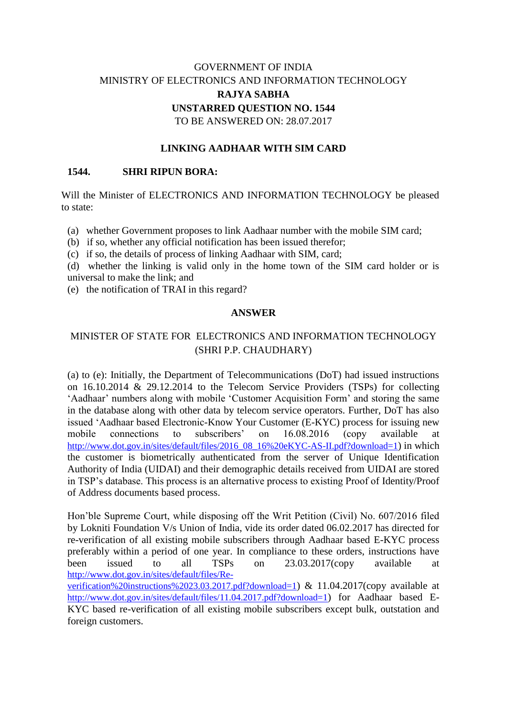# GOVERNMENT OF INDIA MINISTRY OF ELECTRONICS AND INFORMATION TECHNOLOGY **RAJYA SABHA UNSTARRED QUESTION NO. 1544** TO BE ANSWERED ON: 28.07.2017

### **LINKING AADHAAR WITH SIM CARD**

#### **1544. SHRI RIPUN BORA:**

Will the Minister of ELECTRONICS AND INFORMATION TECHNOLOGY be pleased to state:

(a) whether Government proposes to link Aadhaar number with the mobile SIM card;

(b) if so, whether any official notification has been issued therefor;

(c) if so, the details of process of linking Aadhaar with SIM, card;

(d) whether the linking is valid only in the home town of the SIM card holder or is universal to make the link; and

(e) the notification of TRAI in this regard?

#### **ANSWER**

## MINISTER OF STATE FOR ELECTRONICS AND INFORMATION TECHNOLOGY (SHRI P.P. CHAUDHARY)

(a) to (e): Initially, the Department of Telecommunications (DoT) had issued instructions on 16.10.2014 & 29.12.2014 to the Telecom Service Providers (TSPs) for collecting 'Aadhaar' numbers along with mobile 'Customer Acquisition Form' and storing the same in the database along with other data by telecom service operators. Further, DoT has also issued 'Aadhaar based Electronic-Know Your Customer (E-KYC) process for issuing new mobile connections to subscribers' on 16.08.2016 (copy available at [http://www.dot.gov.in/sites/default/files/2016\\_08\\_16%20eKYC-AS-II.pdf?download=1](http://www.dot.gov.in/sites/default/files/2016_08_16%20eKYC-AS-II.pdf?download=1)) in which the customer is biometrically authenticated from the server of Unique Identification Authority of India (UIDAI) and their demographic details received from UIDAI are stored in TSP's database. This process is an alternative process to existing Proof of Identity/Proof of Address documents based process.

Hon'ble Supreme Court, while disposing off the Writ Petition (Civil) No. 607/2016 filed by Lokniti Foundation V/s Union of India, vide its order dated 06.02.2017 has directed for re-verification of all existing mobile subscribers through Aadhaar based E-KYC process preferably within a period of one year. In compliance to these orders, instructions have been issued to all TSPs on 23.03.2017(copy available at [http://www.dot.gov.in/sites/default/files/Re-](http://www.dot.gov.in/sites/default/files/Re-verification%20instructions%2023.03.2017.pdf?download=1)

[verification%20instructions%2023.03.2017.pdf?download=1](http://www.dot.gov.in/sites/default/files/Re-verification%20instructions%2023.03.2017.pdf?download=1)) & 11.04.2017(copy available at <http://www.dot.gov.in/sites/default/files/11.04.2017.pdf?download=1>) for Aadhaar based E-KYC based re-verification of all existing mobile subscribers except bulk, outstation and foreign customers.